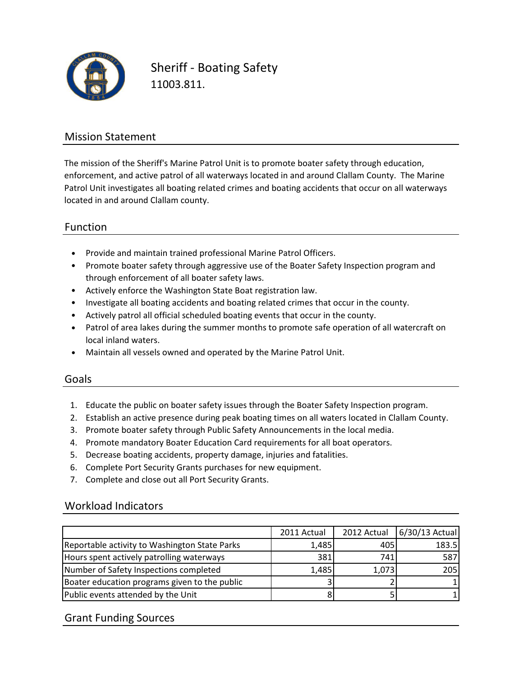

Sheriff - Boating Safety 11003.811.

### Mission Statement

The mission of the Sheriff's Marine Patrol Unit is to promote boater safety through education, enforcement, and active patrol of all waterways located in and around Clallam County. The Marine Patrol Unit investigates all boating related crimes and boating accidents that occur on all waterways located in and around Clallam county.

### Function

- Provide and maintain trained professional Marine Patrol Officers.
- Promote boater safety through aggressive use of the Boater Safety Inspection program and through enforcement of all boater safety laws.
- Actively enforce the Washington State Boat registration law.
- Investigate all boating accidents and boating related crimes that occur in the county.
- Actively patrol all official scheduled boating events that occur in the county.
- Patrol of area lakes during the summer months to promote safe operation of all watercraft on local inland waters.
- Maintain all vessels owned and operated by the Marine Patrol Unit.

#### Goals

- 1. Educate the public on boater safety issues through the Boater Safety Inspection program.
- 2. Establish an active presence during peak boating times on all waters located in Clallam County.
- 3. Promote boater safety through Public Safety Announcements in the local media.
- 4. Promote mandatory Boater Education Card requirements for all boat operators.
- 5. Decrease boating accidents, property damage, injuries and fatalities.
- 6. Complete Port Security Grants purchases for new equipment.
- 7. Complete and close out all Port Security Grants.

#### Workload Indicators

|                                               | 2011 Actual | 2012 Actual | $6/30/13$ Actual |
|-----------------------------------------------|-------------|-------------|------------------|
| Reportable activity to Washington State Parks | 1,485       | 405         | 183.5            |
| Hours spent actively patrolling waterways     | 381         | 741         | 587              |
| Number of Safety Inspections completed        | 1,485       | 1,073       | 205              |
| Boater education programs given to the public |             |             |                  |
| Public events attended by the Unit            |             |             |                  |

#### Grant Funding Sources